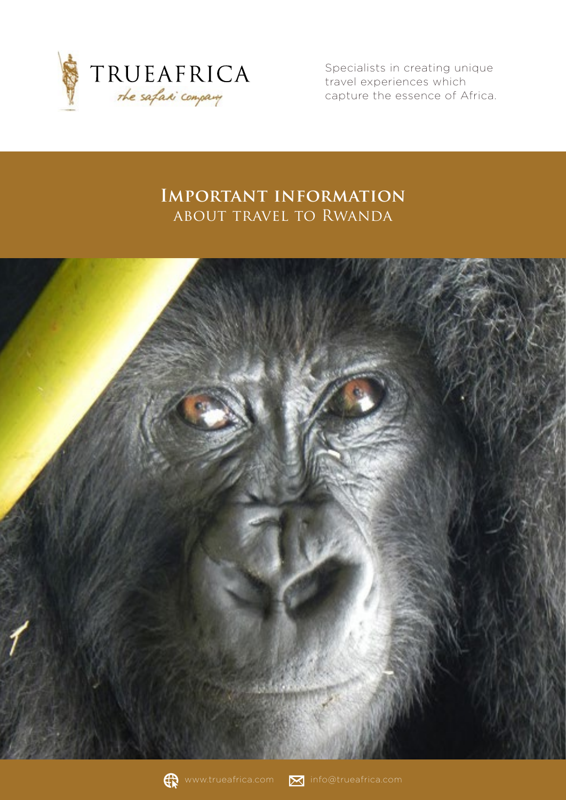

Specialists in creating unique travel experiences which capture the essence of Africa.

# **Important information**  about travel to Rwanda





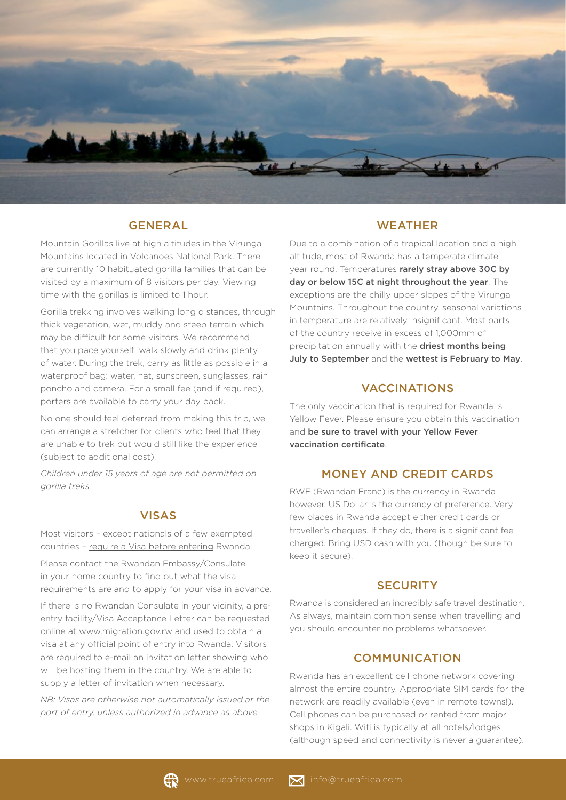

#### GENERAL

Mountain Gorillas live at high altitudes in the Virunga Mountains located in Volcanoes National Park. There are currently 10 habituated gorilla families that can be visited by a maximum of 8 visitors per day. Viewing time with the gorillas is limited to 1 hour.

Gorilla trekking involves walking long distances, through thick vegetation, wet, muddy and steep terrain which may be difficult for some visitors. We recommend that you pace yourself; walk slowly and drink plenty of water. During the trek, carry as little as possible in a waterproof bag: water, hat, sunscreen, sunglasses, rain poncho and camera. For a small fee (and if required), porters are available to carry your day pack.

No one should feel deterred from making this trip, we can arrange a stretcher for clients who feel that they are unable to trek but would still like the experience (subject to additional cost).

*Children under 15 years of age are not permitted on gorilla treks.*

## VISAS

Most visitors – except nationals of a few exempted countries – require a Visa before entering Rwanda.

Please contact the Rwandan Embassy/Consulate in your home country to find out what the visa requirements are and to apply for your visa in advance.

If there is no Rwandan Consulate in your vicinity, a preentry facility/Visa Acceptance Letter can be requested online at www.migration.gov.rw and used to obtain a visa at any official point of entry into Rwanda. Visitors are required to e-mail an invitation letter showing who will be hosting them in the country. We are able to supply a letter of invitation when necessary.

*NB: Visas are otherwise not automatically issued at the port of entry, unless authorized in advance as above.*

#### **WEATHER**

Due to a combination of a tropical location and a high altitude, most of Rwanda has a temperate climate year round. Temperatures rarely stray above 30C by day or below 15C at night throughout the year. The exceptions are the chilly upper slopes of the Virunga Mountains. Throughout the country, seasonal variations in temperature are relatively insignificant. Most parts of the country receive in excess of 1,000mm of precipitation annually with the driest months being July to September and the wettest is February to May.

#### VACCINATIONS

The only vaccination that is required for Rwanda is Yellow Fever. Please ensure you obtain this vaccination and be sure to travel with your Yellow Fever vaccination certificate.

# MONEY AND CREDIT CARDS

RWF (Rwandan Franc) is the currency in Rwanda however, US Dollar is the currency of preference. Very few places in Rwanda accept either credit cards or traveller's cheques. If they do, there is a significant fee charged. Bring USD cash with you (though be sure to keep it secure).

### **SECURITY**

Rwanda is considered an incredibly safe travel destination. As always, maintain common sense when travelling and you should encounter no problems whatsoever.

### **COMMUNICATION**

Rwanda has an excellent cell phone network covering almost the entire country. Appropriate SIM cards for the network are readily available (even in remote towns!). Cell phones can be purchased or rented from major shops in Kigali. Wifi is typically at all hotels/lodges (although speed and connectivity is never a guarantee).

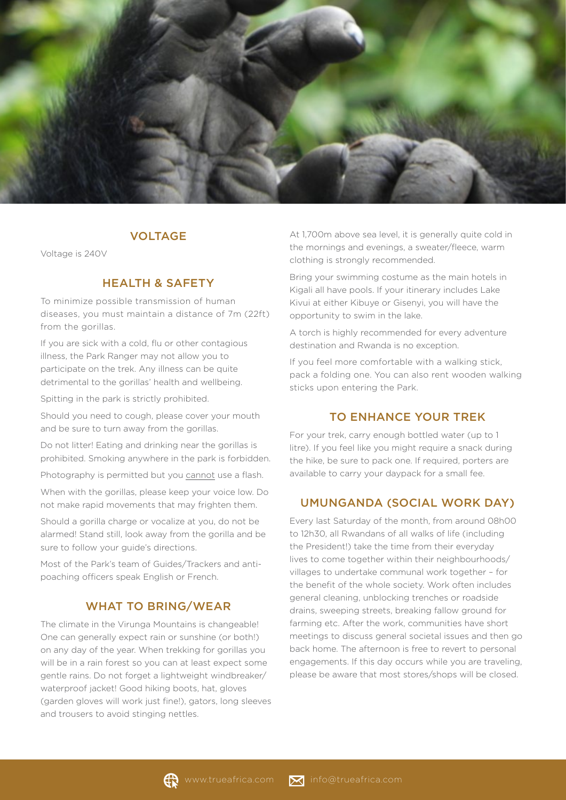

#### VOLTAGE

Voltage is 240V

### HEALTH & SAFETY

To minimize possible transmission of human diseases, you must maintain a distance of 7m (22ft) from the gorillas.

If you are sick with a cold, flu or other contagious illness, the Park Ranger may not allow you to participate on the trek. Any illness can be quite detrimental to the gorillas' health and wellbeing.

Spitting in the park is strictly prohibited.

Should you need to cough, please cover your mouth and be sure to turn away from the gorillas.

Do not litter! Eating and drinking near the gorillas is prohibited. Smoking anywhere in the park is forbidden.

Photography is permitted but you cannot use a flash.

When with the gorillas, please keep your voice low. Do not make rapid movements that may frighten them.

Should a gorilla charge or vocalize at you, do not be alarmed! Stand still, look away from the gorilla and be sure to follow your guide's directions.

Most of the Park's team of Guides/Trackers and antipoaching officers speak English or French.

### WHAT TO BRING/WEAR

The climate in the Virunga Mountains is changeable! One can generally expect rain or sunshine (or both!) on any day of the year. When trekking for gorillas you will be in a rain forest so you can at least expect some gentle rains. Do not forget a lightweight windbreaker/ waterproof jacket! Good hiking boots, hat, gloves (garden gloves will work just fine!), gators, long sleeves and trousers to avoid stinging nettles.

At 1,700m above sea level, it is generally quite cold in the mornings and evenings, a sweater/fleece, warm clothing is strongly recommended.

Bring your swimming costume as the main hotels in Kigali all have pools. If your itinerary includes Lake Kivui at either Kibuye or Gisenyi, you will have the opportunity to swim in the lake.

A torch is highly recommended for every adventure destination and Rwanda is no exception.

If you feel more comfortable with a walking stick, pack a folding one. You can also rent wooden walking sticks upon entering the Park.

#### TO ENHANCE YOUR TREK

For your trek, carry enough bottled water (up to 1 litre). If you feel like you might require a snack during the hike, be sure to pack one. If required, porters are available to carry your daypack for a small fee.

#### UMUNGANDA (SOCIAL WORK DAY)

Every last Saturday of the month, from around 08h00 to 12h30, all Rwandans of all walks of life (including the President!) take the time from their everyday lives to come together within their neighbourhoods/ villages to undertake communal work together – for the benefit of the whole society. Work often includes general cleaning, unblocking trenches or roadside drains, sweeping streets, breaking fallow ground for farming etc. After the work, communities have short meetings to discuss general societal issues and then go back home. The afternoon is free to revert to personal engagements. If this day occurs while you are traveling, please be aware that most stores/shops will be closed.